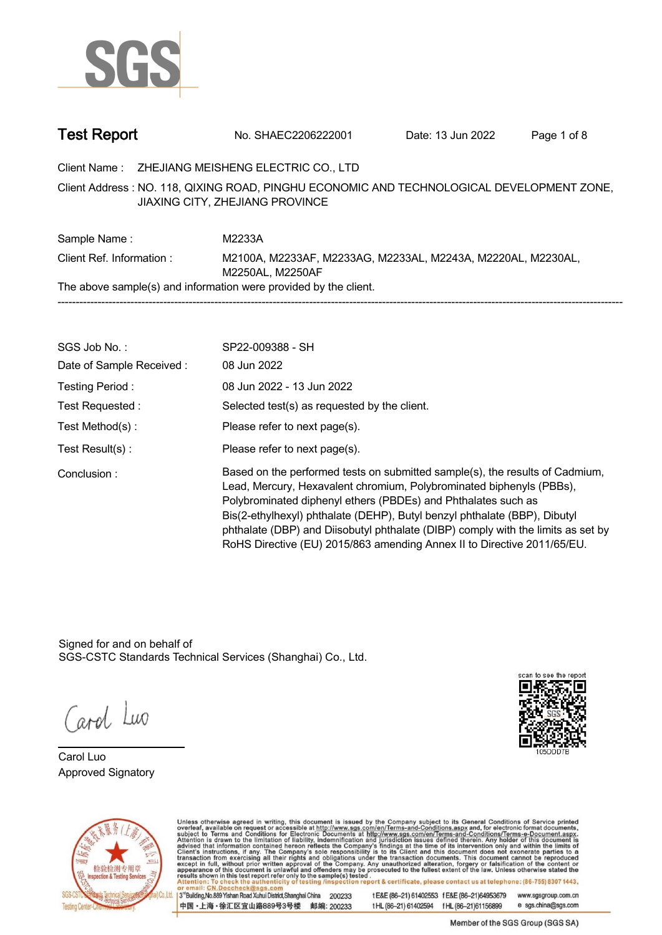

| <b>Test Report</b> | No. SHAEC2206222001 | Date: 13 Jun 2022 | Page 1 of 8 |  |
|--------------------|---------------------|-------------------|-------------|--|
|--------------------|---------------------|-------------------|-------------|--|

**Client Name : ZHEJIANG MEISHENG ELECTRIC CO., LTD .**

**NO. 118, QIXING ROAD, PINGHU ECONOMIC AND TECHNOLOGICAL DEVELOPMENT ZONE, . Client Address : JIAXING CITY, ZHEJIANG PROVINCE**

**Sample Name : M2233A. Client Ref. Information : . M2100A, M2233AF, M2233AG, M2233AL, M2243A, M2220AL, M2230AL, M2250AL, M2250AF. The above sample(s) and information were provided by the client. -----------------------------------------------------------------------------------------------------------------------------------------------------------**

| SGS Job No.:             | SP22-009388 - SH                                                                                                                                                                                                                                                                                                                                                                                                                                                  |
|--------------------------|-------------------------------------------------------------------------------------------------------------------------------------------------------------------------------------------------------------------------------------------------------------------------------------------------------------------------------------------------------------------------------------------------------------------------------------------------------------------|
| Date of Sample Received: | 08 Jun 2022                                                                                                                                                                                                                                                                                                                                                                                                                                                       |
| Testing Period:          | 08 Jun 2022 - 13 Jun 2022                                                                                                                                                                                                                                                                                                                                                                                                                                         |
| Test Requested:          | Selected test(s) as requested by the client.                                                                                                                                                                                                                                                                                                                                                                                                                      |
| Test Method(s):          | Please refer to next page(s).                                                                                                                                                                                                                                                                                                                                                                                                                                     |
| Test $Result(s)$ :       | Please refer to next page(s).                                                                                                                                                                                                                                                                                                                                                                                                                                     |
| Conclusion:              | Based on the performed tests on submitted sample(s), the results of Cadmium,<br>Lead, Mercury, Hexavalent chromium, Polybrominated biphenyls (PBBs),<br>Polybrominated diphenyl ethers (PBDEs) and Phthalates such as<br>Bis(2-ethylhexyl) phthalate (DEHP), Butyl benzyl phthalate (BBP), Dibutyl<br>phthalate (DBP) and Diisobutyl phthalate (DIBP) comply with the limits as set by<br>RoHS Directive (EU) 2015/863 amending Annex II to Directive 2011/65/EU. |

Signed for and on behalf of SGS-CSTC Standards Technical Services (Shanghai) Co., Ltd..

Carol Luo

**Carol Luo. Approved Signatory .**





Unless otherwise agreed in writing, this document is issued by the Company subject to its General Conditions of Service printed overleaf, available on request or accessible at http://www.sgs.com/en/Terms-and-Conditions.asp

13<sup>rd</sup> Building No.889 Yishan Road Xuhui District Shanghai China 200233 中国·上海·徐汇区宜山路889号3号楼 邮编: 200233 tE&E (86-21) 61402553 fE&E (86-21)64953679 www.sgsgroup.com.cn

tHL (86-21) 61402594 fHL (86-21) 61156899 e sgs.china@sgs.com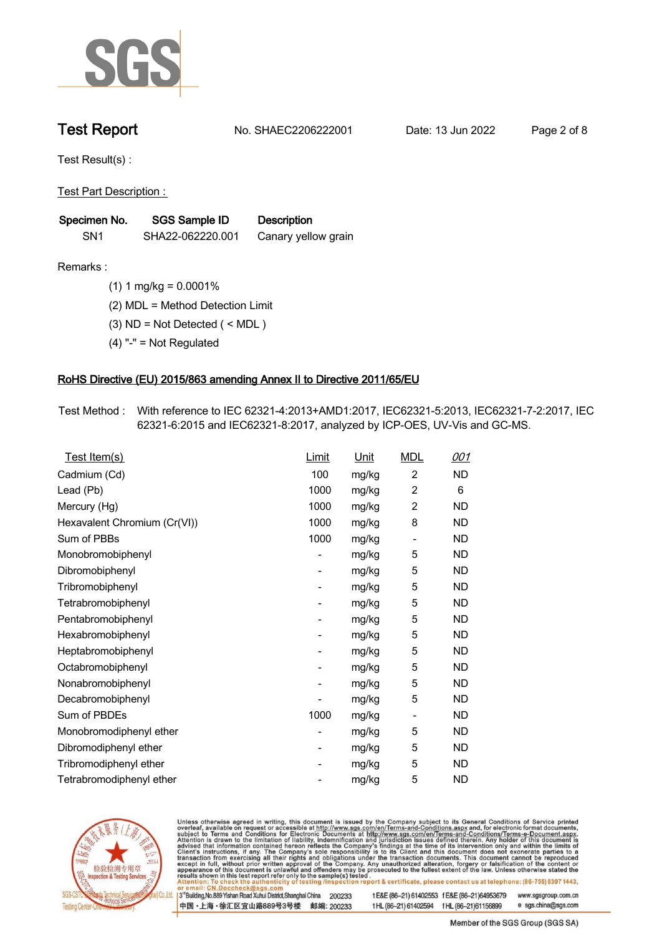

**Test Report. No. SHAEC2206222001 . Date: 13 Jun 2022. Page 2 of 8.**

**Test Result(s) :.**

**Test Part Description : .**

| Specimen No.    | SGS Sample ID    | <b>Description</b>  |  |
|-----------------|------------------|---------------------|--|
| SN <sub>1</sub> | SHA22-062220.001 | Canary yellow grain |  |

- **Remarks :.(1) 1 mg/kg = 0.0001% .**
	- **(2) MDL = Method Detection Limit .**
	- **(3) ND = Not Detected ( < MDL ) .**
	- **(4) "-" = Not Regulated .**

### **RoHS Directive (EU) 2015/863 amending Annex II to Directive 2011/65/EU.**

**Test Method :. With reference to IEC 62321-4:2013+AMD1:2017, IEC62321-5:2013, IEC62321-7-2:2017, IEC 62321-6:2015 and IEC62321-8:2017, analyzed by ICP-OES, UV-Vis and GC-MS. .**

| Test Item(s)                 | Limit          | <b>Unit</b> | <b>MDL</b>                   | <u>001</u> |
|------------------------------|----------------|-------------|------------------------------|------------|
| Cadmium (Cd)                 | 100            | mg/kg       | 2                            | ND         |
| Lead (Pb)                    | 1000           | mg/kg       | $\overline{2}$               | 6          |
| Mercury (Hg)                 | 1000           | mg/kg       | $\overline{2}$               | ND         |
| Hexavalent Chromium (Cr(VI)) | 1000           | mg/kg       | 8                            | ND         |
| Sum of PBBs                  | 1000           | mg/kg       | $\qquad \qquad \blacksquare$ | <b>ND</b>  |
| Monobromobiphenyl            |                | mg/kg       | 5                            | ND         |
| Dibromobiphenyl              | -              | mg/kg       | 5                            | ND         |
| Tribromobiphenyl             |                | mg/kg       | 5                            | <b>ND</b>  |
| Tetrabromobiphenyl           | -              | mg/kg       | 5                            | <b>ND</b>  |
| Pentabromobiphenyl           | -              | mg/kg       | 5                            | ND         |
| Hexabromobiphenyl            | -              | mg/kg       | 5                            | ND         |
| Heptabromobiphenyl           | ٠              | mg/kg       | 5                            | <b>ND</b>  |
| Octabromobiphenyl            | -              | mg/kg       | 5                            | ND         |
| Nonabromobiphenyl            |                | mg/kg       | 5                            | ND         |
| Decabromobiphenyl            |                | mg/kg       | 5                            | ND         |
| Sum of PBDEs                 | 1000           | mg/kg       | $\overline{\phantom{a}}$     | <b>ND</b>  |
| Monobromodiphenyl ether      | -              | mg/kg       | 5                            | <b>ND</b>  |
| Dibromodiphenyl ether        | -              | mg/kg       | 5                            | <b>ND</b>  |
| Tribromodiphenyl ether       | $\overline{a}$ | mg/kg       | 5                            | ND         |
| Tetrabromodiphenyl ether     |                | mg/kg       | 5                            | ND         |



Unless otherwise agreed in writing, this document is issued by the Company subject to its General Conditions of Service printed overleaf, available on request or accessible at http://www.sgs.com/en/Terms-and-Conditions.asp

3<sup>rd</sup> Building, No.889 Yishan Road Xuhui District, Shanghai China 200233 中国·上海·徐汇区宜山路889号3号楼 邮编: 200233 tE&E (86-21) 61402553 fE&E (86-21)64953679 www.sgsgroup.com.cn

t HL (86-21) 61402594 f HL (86-21) 61156899 e sgs.china@sgs.com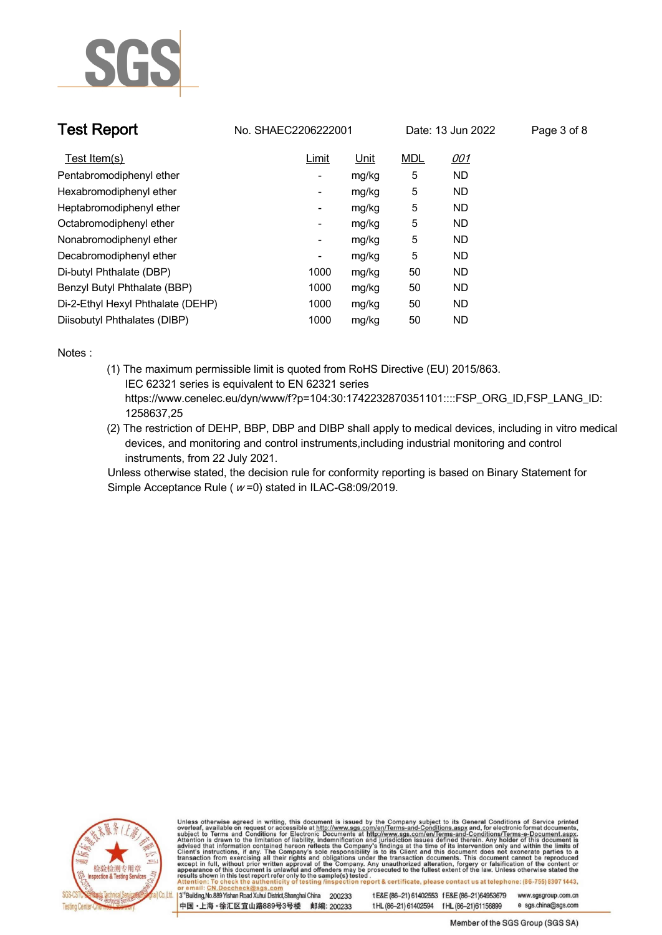

| <b>Test Report</b>                | No. SHAEC2206222001      |       | Date: 13 Jun 2022 |           | Page 3 of 8 |
|-----------------------------------|--------------------------|-------|-------------------|-----------|-------------|
| Test Item(s)                      | Limit                    | Unit  | <b>MDL</b>        | 001       |             |
| Pentabromodiphenyl ether          | -                        | mg/kg | 5                 | <b>ND</b> |             |
| Hexabromodiphenyl ether           | -                        | mg/kg | 5                 | ND.       |             |
| Heptabromodiphenyl ether          | $\overline{\phantom{a}}$ | mg/kg | 5                 | ND.       |             |
| Octabromodiphenyl ether           | $\overline{\phantom{a}}$ | mg/kg | 5                 | <b>ND</b> |             |
| Nonabromodiphenyl ether           | ۰                        | mg/kg | 5                 | ND.       |             |
| Decabromodiphenyl ether           | $\overline{\phantom{a}}$ | mg/kg | 5                 | <b>ND</b> |             |
| Di-butyl Phthalate (DBP)          | 1000                     | mg/kg | 50                | <b>ND</b> |             |
| Benzyl Butyl Phthalate (BBP)      | 1000                     | mg/kg | 50                | <b>ND</b> |             |
| Di-2-Ethyl Hexyl Phthalate (DEHP) | 1000                     | mg/kg | 50                | <b>ND</b> |             |
| Diisobutyl Phthalates (DIBP)      | 1000                     | mg/kg | 50                | <b>ND</b> |             |

**Notes :.**

- **(1) The maximum permissible limit is quoted from RoHS Directive (EU) 2015/863. IEC 62321 series is equivalent to EN 62321 series https://www.cenelec.eu/dyn/www/f?p=104:30:1742232870351101::::FSP\_ORG\_ID,FSP\_LANG\_ID: 1258637,25**
- **(2) The restriction of DEHP, BBP, DBP and DIBP shall apply to medical devices, including in vitro medical devices, and monitoring and control instruments,including industrial monitoring and control instruments, from 22 July 2021. .**

**Unless otherwise stated, the decision rule for conformity reporting is based on Binary Statement for Simple Acceptance Rule ( <sup>w</sup> =0) stated in ILAC-G8:09/2019. .**



Unless otherwise agreed in writing, this document is issued by the Company subject to its General Conditions of Service printed overleaf, available on request or accessible at http://www.sgs.com/en/Terms-and-Conditions.asp

3<sup>14</sup> Building, No.889 Yishan Road Xuhui District, Shanghai China 200233 中国·上海·徐汇区宜山路889号3号楼 邮编: 200233 t E&E (86-21) 61402553 f E&E (86-21)64953679 www.sgsgroup.com.cn

e sgs.china@sgs.com t HL (86-21) 61402594 f HL (86-21) 61156899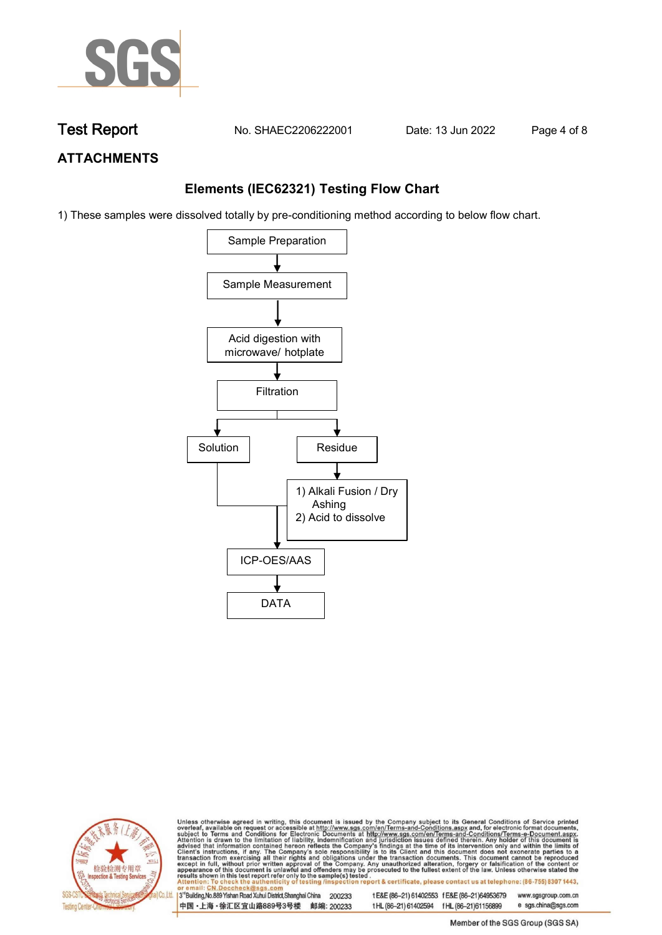

**Test Report. No. SHAEC2206222001 . Date: 13 Jun 2022. Page 4 of 8.**

## **ATTACHMENTS**

## **Elements (IEC62321) Testing Flow Chart**

1) These samples were dissolved totally by pre-conditioning method according to below flow chart.





Unless otherwise agreed in writing, this document is issued by the Company subject to its General Conditions of Service printed overleaf, available on request or accessible at http://www.sgs.com/en/Terms-and-Conditions.asp

3<sup>rd</sup> Building, No.889 Yishan Road Xuhui District, Shanghai China 200233 中国·上海·徐汇区宜山路889号3号楼 邮编: 200233 tE&E (86-21) 61402553 fE&E (86-21)64953679 www.sgsgroup.com.cn e sgs.china@sgs.com

t HL (86-21) 61402594 f HL (86-21) 61156899 Member of the SGS Group (SGS SA)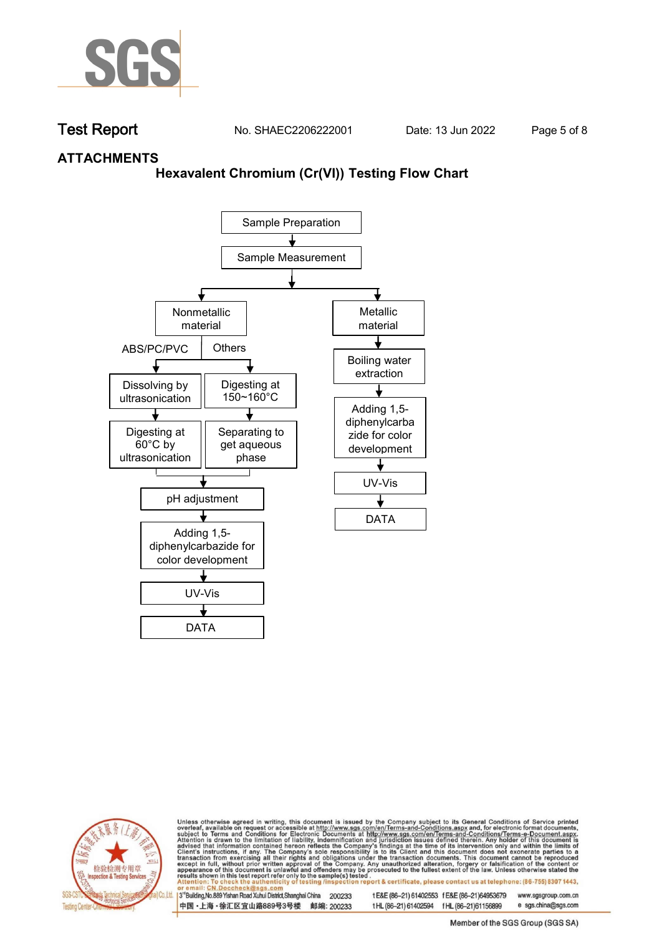

**Test Report. No. SHAEC2206222001 . Date: 13 Jun 2022. Page 5 of 8.**

## **ATTACHMENTS**

### **Hexavalent Chromium (Cr(VI)) Testing Flow Chart**





Unless otherwise agreed in writing, this document is issued by the Company subject to its General Conditions of Service printed overleaf, available on request or accessible at http://www.sgs.com/en/Terms-and-Conditions.asp

3<sup>rd</sup> Building, No.889 Yishan Road Xuhui District, Shanghai China 200233 中国·上海·徐汇区宜山路889号3号楼 邮编: 200233 tE&E (86-21) 61402553 fE&E (86-21)64953679 www.sgsgroup.com.cn t HL (86-21) 61402594 f HL (86-21) 61156899 e sgs.china@sgs.com

Member of the SGS Group (SGS SA)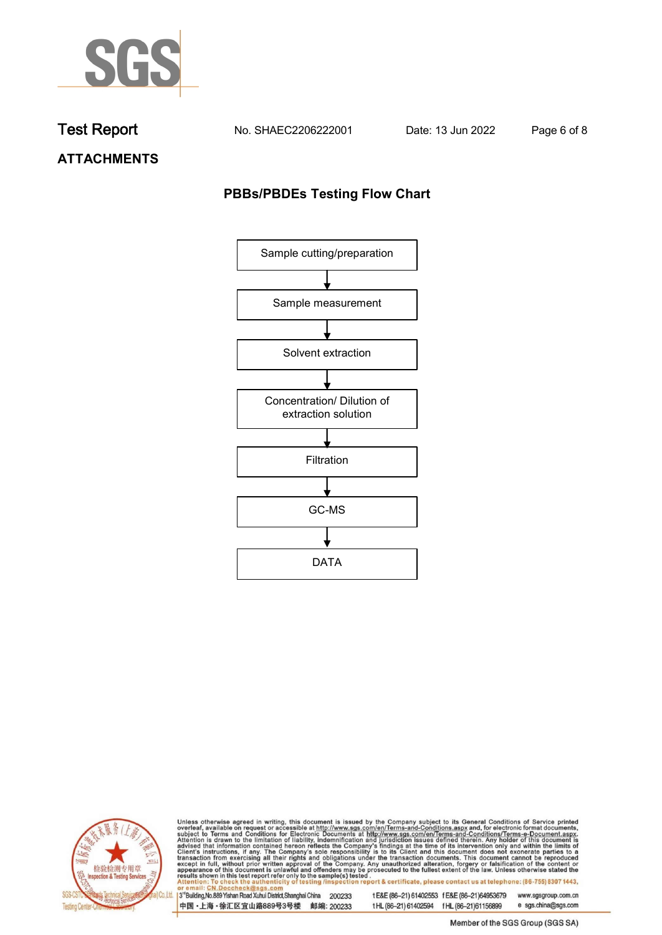

**Test Report. No. SHAEC2206222001 . Date: 13 Jun 2022. Page 6 of 8.**

**ATTACHMENTS**

## **PBBs/PBDEs Testing Flow Chart**





Unless otherwise agreed in writing, this document is issued by the Company subject to its General Conditions of Service printed overleaf, available on request or accessible at http://www.sgs.com/en/Terms-and-Conditions.asp

3<sup>'</sup>Building, No.889 Yishan Road Xuhui District, Shanghai China 200233 中国·上海·徐汇区宜山路889号3号楼 邮编: 200233

tE&E (86-21) 61402553 fE&E (86-21)64953679 www.sgsgroup.com.cn

t HL (86-21) 61402594 f HL (86-21) 61156899 e sgs.china@sgs.com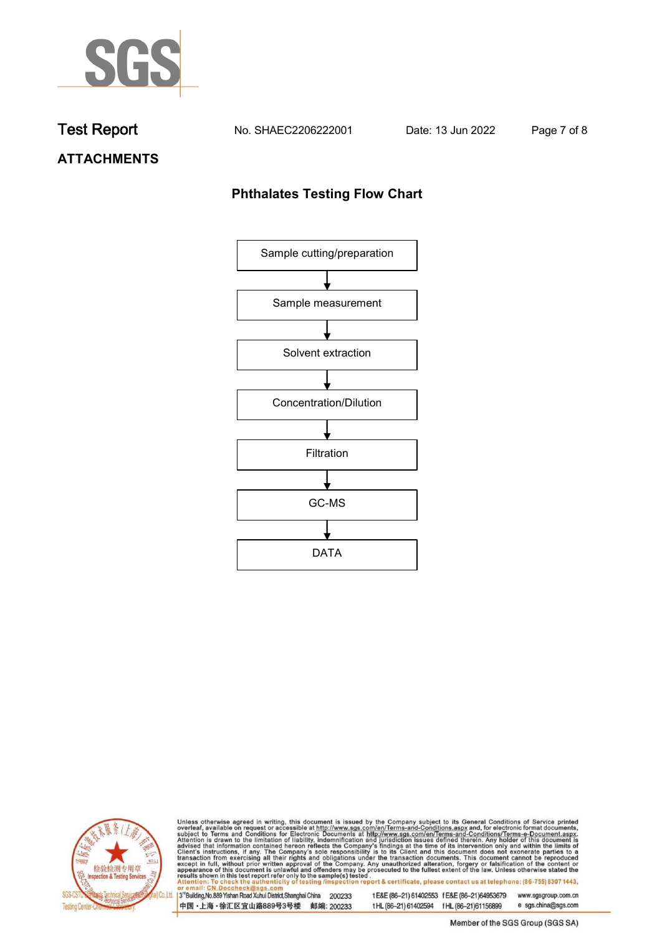

**Test Report. No. SHAEC2206222001 . Date: 13 Jun 2022. Page 7 of 8.**

# **ATTACHMENTS**

## **Phthalates Testing Flow Chart**





Unless otherwise agreed in writing, this document is issued by the Company subject to its General Conditions of Service printed overleaf, available on request or accessible at http://www.sgs.com/en/Terms-and-Conditions.asp

3<sup>'</sup>Building, No.889 Yishan Road Xuhui District, Shanghai China 200233 中国·上海·徐汇区宜山路889号3号楼 邮编: 200233

tE&E (86-21) 61402553 fE&E (86-21)64953679 www.sgsgroup.com.cn

e sgs.china@sgs.com t HL (86-21) 61402594 f HL (86-21) 61156899